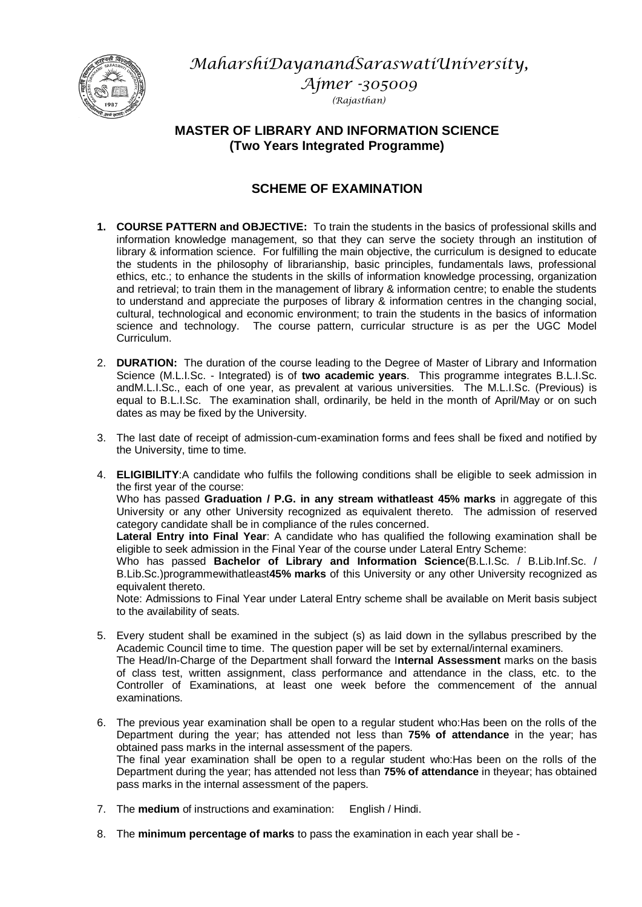*MaharshiDayanandSaraswatiUniversity,* 



*Ajmer -305009 (Rajasthan)*

# **MASTER OF LIBRARY AND INFORMATION SCIENCE (Two Years Integrated Programme)**

# **SCHEME OF EXAMINATION**

- **1. COURSE PATTERN and OBJECTIVE:** To train the students in the basics of professional skills and information knowledge management, so that they can serve the society through an institution of library & information science. For fulfilling the main objective, the curriculum is designed to educate the students in the philosophy of librarianship, basic principles, fundamentals laws, professional ethics, etc.; to enhance the students in the skills of information knowledge processing, organization and retrieval; to train them in the management of library & information centre; to enable the students to understand and appreciate the purposes of library & information centres in the changing social, cultural, technological and economic environment; to train the students in the basics of information science and technology. The course pattern, curricular structure is as per the UGC Model Curriculum.
- 2. **DURATION:** The duration of the course leading to the Degree of Master of Library and Information Science (M.L.I.Sc. - Integrated) is of **two academic years**. This programme integrates B.L.I.Sc. andM.L.I.Sc., each of one year, as prevalent at various universities. The M.L.I.Sc. (Previous) is equal to B.L.I.Sc. The examination shall, ordinarily, be held in the month of April/May or on such dates as may be fixed by the University.
- 3. The last date of receipt of admission-cum-examination forms and fees shall be fixed and notified by the University, time to time.
- 4. **ELIGIBILITY**:A candidate who fulfils the following conditions shall be eligible to seek admission in the first year of the course: Who has passed **Graduation / P.G. in any stream withatleast 45% marks** in aggregate of this University or any other University recognized as equivalent thereto. The admission of reserved category candidate shall be in compliance of the rules concerned. **Lateral Entry into Final Year**: A candidate who has qualified the following examination shall be eligible to seek admission in the Final Year of the course under Lateral Entry Scheme: Who has passed **Bachelor of Library and Information Science**(B.L.I.Sc. / B.Lib.Inf.Sc. / B.Lib.Sc.)programmewithatleast**45% marks** of this University or any other University recognized as equivalent thereto. Note: Admissions to Final Year under Lateral Entry scheme shall be available on Merit basis subject to the availability of seats.
- 5. Every student shall be examined in the subject (s) as laid down in the syllabus prescribed by the Academic Council time to time. The question paper will be set by external/internal examiners. The Head/In-Charge of the Department shall forward the I**nternal Assessment** marks on the basis of class test, written assignment, class performance and attendance in the class, etc. to the Controller of Examinations, at least one week before the commencement of the annual examinations.
- 6. The previous year examination shall be open to a regular student who:Has been on the rolls of the Department during the year; has attended not less than **75% of attendance** in the year; has obtained pass marks in the internal assessment of the papers. The final year examination shall be open to a regular student who:Has been on the rolls of the Department during the year; has attended not less than **75% of attendance** in theyear; has obtained pass marks in the internal assessment of the papers.
- 7. The **medium** of instructions and examination: English / Hindi.
- 8. The **minimum percentage of marks** to pass the examination in each year shall be -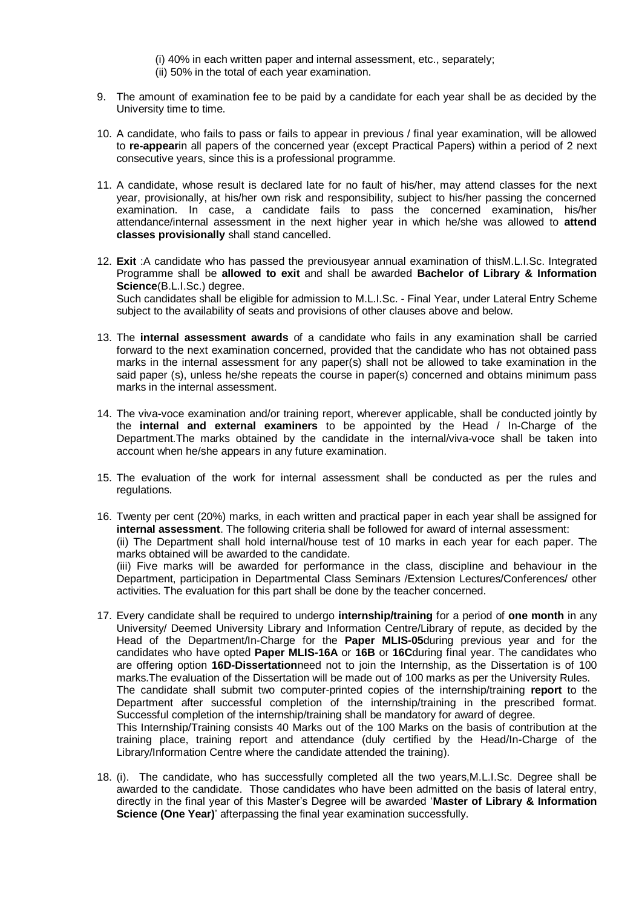- (i) 40% in each written paper and internal assessment, etc., separately;
- (ii) 50% in the total of each year examination.
- 9. The amount of examination fee to be paid by a candidate for each year shall be as decided by the University time to time.
- 10. A candidate, who fails to pass or fails to appear in previous / final year examination, will be allowed to **re-appear**in all papers of the concerned year (except Practical Papers) within a period of 2 next consecutive years, since this is a professional programme.
- 11. A candidate, whose result is declared late for no fault of his/her, may attend classes for the next year, provisionally, at his/her own risk and responsibility, subject to his/her passing the concerned examination. In case, a candidate fails to pass the concerned examination, his/her attendance/internal assessment in the next higher year in which he/she was allowed to **attend classes provisionally** shall stand cancelled.
- 12. **Exit** :A candidate who has passed the previousyear annual examination of thisM.L.I.Sc. Integrated Programme shall be **allowed to exit** and shall be awarded **Bachelor of Library & Information Science**(B.L.I.Sc.) degree. Such candidates shall be eligible for admission to M.L.I.Sc. - Final Year, under Lateral Entry Scheme subject to the availability of seats and provisions of other clauses above and below.
- 13. The **internal assessment awards** of a candidate who fails in any examination shall be carried forward to the next examination concerned, provided that the candidate who has not obtained pass marks in the internal assessment for any paper(s) shall not be allowed to take examination in the said paper (s), unless he/she repeats the course in paper(s) concerned and obtains minimum pass marks in the internal assessment.
- 14. The viva-voce examination and/or training report, wherever applicable, shall be conducted jointly by the **internal and external examiners** to be appointed by the Head / In-Charge of the Department.The marks obtained by the candidate in the internal/viva-voce shall be taken into account when he/she appears in any future examination.
- 15. The evaluation of the work for internal assessment shall be conducted as per the rules and regulations.
- 16. Twenty per cent (20%) marks, in each written and practical paper in each year shall be assigned for **internal assessment**. The following criteria shall be followed for award of internal assessment: (ii) The Department shall hold internal/house test of 10 marks in each year for each paper. The marks obtained will be awarded to the candidate. (iii) Five marks will be awarded for performance in the class, discipline and behaviour in the Department, participation in Departmental Class Seminars /Extension Lectures/Conferences/ other activities. The evaluation for this part shall be done by the teacher concerned.
- 17. Every candidate shall be required to undergo **internship/training** for a period of **one month** in any University/ Deemed University Library and Information Centre/Library of repute, as decided by the Head of the Department/In-Charge for the **Paper MLIS-05**during previous year and for the candidates who have opted **Paper MLIS-16A** or **16B** or **16C**during final year. The candidates who are offering option **16D-Dissertation**need not to join the Internship, as the Dissertation is of 100 marks.The evaluation of the Dissertation will be made out of 100 marks as per the University Rules. The candidate shall submit two computer-printed copies of the internship/training **report** to the Department after successful completion of the internship/training in the prescribed format. Successful completion of the internship/training shall be mandatory for award of degree. This Internship/Training consists 40 Marks out of the 100 Marks on the basis of contribution at the training place, training report and attendance (duly certified by the Head/In-Charge of the Library/Information Centre where the candidate attended the training).
- 18. (i). The candidate, who has successfully completed all the two years,M.L.I.Sc. Degree shall be awarded to the candidate. Those candidates who have been admitted on the basis of lateral entry, directly in the final year of this Master's Degree will be awarded '**Master of Library & Information Science (One Year)**' afterpassing the final year examination successfully.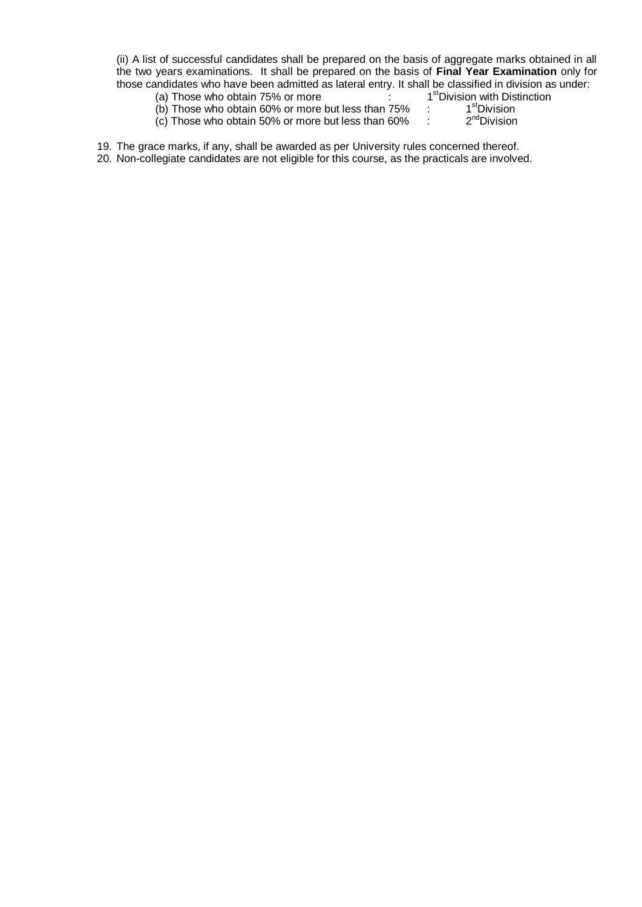(ii) A list of successful candidates shall be prepared on the basis of aggregate marks obtained in all the two years examinations. It shall be prepared on the basis of **Final Year Examination** only for those candidates who have been admitted as lateral entry. It shall be classified in division as under:

- (a) Those who obtain  $75%$  or more stDivision with Distinction
- $(b)$  Those who obtain 60% or more but less than 75% <sup>st</sup>Division
- $(c)$  Those who obtain 50% or more but less than 60% <sup>nd</sup>Division

19. The grace marks, if any, shall be awarded as per University rules concerned thereof.

20. Non-collegiate candidates are not eligible for this course, as the practicals are involved.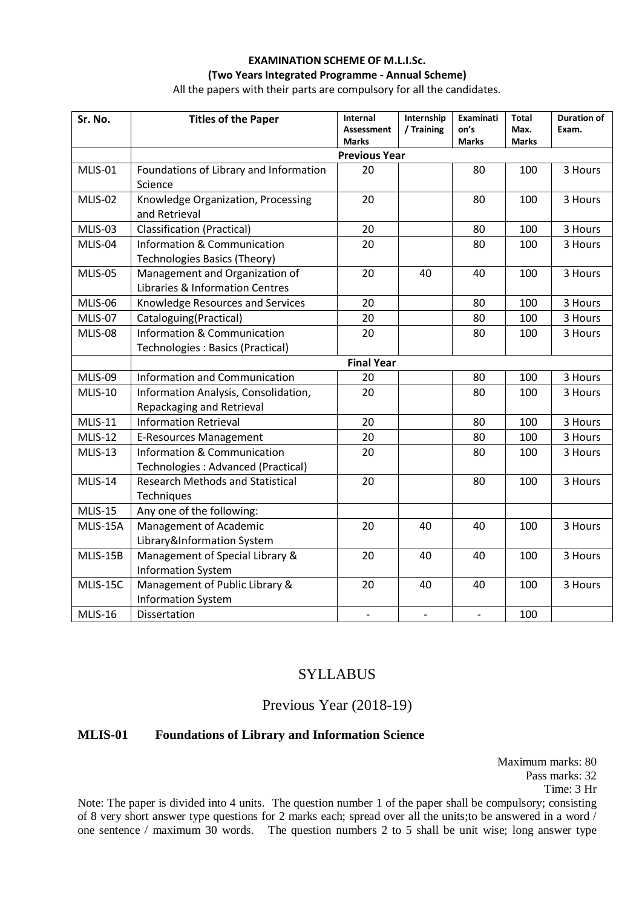# **EXAMINATION SCHEME OF M.L.I.Sc. (Two Years Integrated Programme - Annual Scheme)**

All the papers with their parts are compulsory for all the candidates.

| Sr. No.        | <b>Titles of the Paper</b>                                                    | <b>Internal</b><br>Assessment | Internship<br>/ Training | Examinati<br>on's | <b>Total</b><br>Max. | <b>Duration of</b><br>Exam. |
|----------------|-------------------------------------------------------------------------------|-------------------------------|--------------------------|-------------------|----------------------|-----------------------------|
|                |                                                                               | <b>Marks</b>                  |                          | Marks             | Marks                |                             |
|                | <b>Previous Year</b>                                                          |                               |                          |                   |                      |                             |
| MLIS-01        | Foundations of Library and Information<br>Science                             | 20                            |                          | 80                | 100                  | 3 Hours                     |
|                |                                                                               |                               |                          |                   |                      |                             |
| MLIS-02        | Knowledge Organization, Processing<br>and Retrieval                           | 20                            |                          | 80                | 100                  | 3 Hours                     |
| MLIS-03        | <b>Classification (Practical)</b>                                             | 20                            |                          | 80                | 100                  | 3 Hours                     |
| MLIS-04        | <b>Information &amp; Communication</b><br><b>Technologies Basics (Theory)</b> | 20                            |                          | 80                | 100                  | 3 Hours                     |
| MLIS-05        | Management and Organization of<br>Libraries & Information Centres             | 20                            | 40                       | 40                | 100                  | 3 Hours                     |
| MLIS-06        | Knowledge Resources and Services                                              | 20                            |                          | 80                | 100                  | 3 Hours                     |
| MLIS-07        | Cataloguing(Practical)                                                        | 20                            |                          | 80                | 100                  | 3 Hours                     |
| MLIS-08        | Information & Communication<br>Technologies: Basics (Practical)               | 20                            |                          | 80                | 100                  | 3 Hours                     |
|                |                                                                               | <b>Final Year</b>             |                          |                   |                      |                             |
| MLIS-09        | <b>Information and Communication</b>                                          | 20                            |                          | 80                | 100                  | 3 Hours                     |
| MLIS-10        | Information Analysis, Consolidation,                                          | 20                            |                          | 80                | 100                  | 3 Hours                     |
|                | Repackaging and Retrieval                                                     |                               |                          |                   |                      |                             |
| <b>MLIS-11</b> | <b>Information Retrieval</b>                                                  | 20                            |                          | 80                | 100                  | 3 Hours                     |
| MLIS-12        | <b>E-Resources Management</b>                                                 | 20                            |                          | 80                | 100                  | 3 Hours                     |
| MLIS-13        | Information & Communication<br>Technologies: Advanced (Practical)             | 20                            |                          | 80                | 100                  | 3 Hours                     |
| MLIS-14        | <b>Research Methods and Statistical</b><br>Techniques                         | 20                            |                          | 80                | 100                  | 3 Hours                     |
| MLIS-15        | Any one of the following:                                                     |                               |                          |                   |                      |                             |
| MLIS-15A       | Management of Academic<br>Library&Information System                          | 20                            | 40                       | 40                | 100                  | 3 Hours                     |
| MLIS-15B       | Management of Special Library &<br><b>Information System</b>                  | 20                            | 40                       | 40                | 100                  | 3 Hours                     |
| MLIS-15C       | Management of Public Library &<br><b>Information System</b>                   | 20                            | 40                       | 40                | 100                  | 3 Hours                     |
| MLIS-16        | Dissertation                                                                  |                               |                          |                   | 100                  |                             |

# **SYLLABUS**

# Previous Year (2018-19)

## **MLIS-01 Foundations of Library and Information Science**

Maximum marks: 80 Pass marks: 32 Time: 3 Hr

Note: The paper is divided into 4 units. The question number 1 of the paper shall be compulsory; consisting of 8 very short answer type questions for 2 marks each; spread over all the units;to be answered in a word / one sentence / maximum 30 words. The question numbers 2 to 5 shall be unit wise; long answer type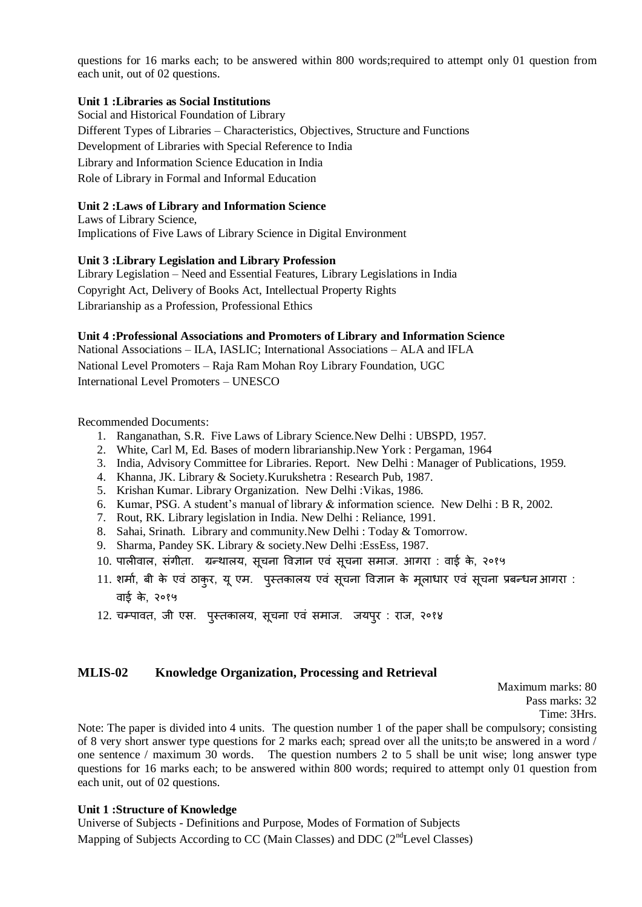questions for 16 marks each; to be answered within 800 words;required to attempt only 01 question from each unit, out of 02 questions.

#### **Unit 1 :Libraries as Social Institutions**

Social and Historical Foundation of Library Different Types of Libraries – Characteristics, Objectives, Structure and Functions Development of Libraries with Special Reference to India Library and Information Science Education in India Role of Library in Formal and Informal Education

#### **Unit 2 :Laws of Library and Information Science**

Laws of Library Science, Implications of Five Laws of Library Science in Digital Environment

#### **Unit 3 :Library Legislation and Library Profession**

Library Legislation – Need and Essential Features, Library Legislations in India Copyright Act, Delivery of Books Act, Intellectual Property Rights Librarianship as a Profession, Professional Ethics

#### **Unit 4 :Professional Associations and Promoters of Library and Information Science**

National Associations – ILA, IASLIC; International Associations – ALA and IFLA National Level Promoters – Raja Ram Mohan Roy Library Foundation, UGC International Level Promoters – UNESCO

Recommended Documents:

- 1. Ranganathan, S.R. Five Laws of Library Science.New Delhi : UBSPD, 1957.
- 2. White, Carl M, Ed. Bases of modern librarianship.New York : Pergaman, 1964
- 3. India, Advisory Committee for Libraries. Report. New Delhi : Manager of Publications, 1959.
- 4. Khanna, JK. Library & Society.Kurukshetra : Research Pub, 1987.
- 5. Krishan Kumar. Library Organization. New Delhi :Vikas, 1986.
- 6. Kumar, PSG. A student's manual of library & information science. New Delhi : B R, 2002.
- 7. Rout, RK. Library legislation in India. New Delhi : Reliance, 1991.
- 8. Sahai, Srinath. Library and community.New Delhi : Today & Tomorrow.
- 9. Sharma, Pandey SK. Library & society.New Delhi :EssEss, 1987.
- 10. पालीवाल, संगीता. ग्रन्थालय, सूचना विज्ञान एवं सूचना समाज. आगरा : वाई के, २०१५
- 11. शर्मा, बी के एवं ठाकुर, यू एम. पुस्तकालय एवं सूचना विज्ञान के मूलाधार एवं सूचना प्रबन्धन आगरा : वाई के, २०१५
- 12. चम्पावत, जी एस. पुस्तकालय, सूचना एवं समाज. जयपुर: राज, २०१४

#### **MLIS-02 Knowledge Organization, Processing and Retrieval**

Maximum marks: 80 Pass marks: 32 Time: 3Hrs.

Note: The paper is divided into 4 units. The question number 1 of the paper shall be compulsory; consisting of 8 very short answer type questions for 2 marks each; spread over all the units;to be answered in a word / one sentence / maximum 30 words. The question numbers 2 to 5 shall be unit wise; long answer type questions for 16 marks each; to be answered within 800 words; required to attempt only 01 question from each unit, out of 02 questions.

#### **Unit 1 :Structure of Knowledge**

Universe of Subjects - Definitions and Purpose, Modes of Formation of Subjects Mapping of Subjects According to CC (Main Classes) and DDC  $(2<sup>nd</sup>Level Classes)$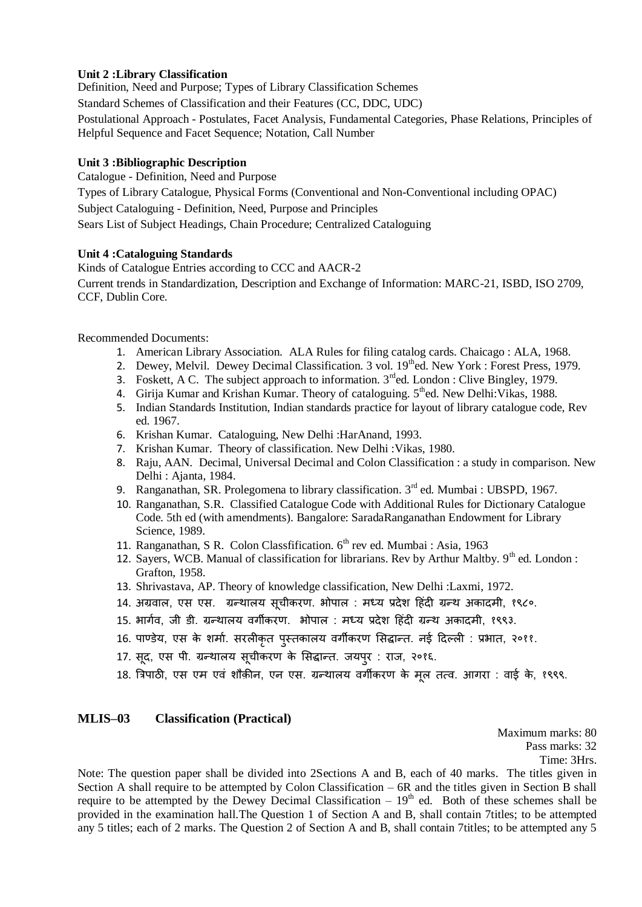#### **Unit 2 :Library Classification**

Definition, Need and Purpose; Types of Library Classification Schemes

Standard Schemes of Classification and their Features (CC, DDC, UDC)

Postulational Approach - Postulates, Facet Analysis, Fundamental Categories, Phase Relations, Principles of Helpful Sequence and Facet Sequence; Notation, Call Number

## **Unit 3 :Bibliographic Description**

Catalogue - Definition, Need and Purpose

Types of Library Catalogue, Physical Forms (Conventional and Non-Conventional including OPAC) Subject Cataloguing - Definition, Need, Purpose and Principles

Sears List of Subject Headings, Chain Procedure; Centralized Cataloguing

## **Unit 4 :Cataloguing Standards**

Kinds of Catalogue Entries according to CCC and AACR-2 Current trends in Standardization, Description and Exchange of Information: MARC-21, ISBD, ISO 2709, CCF, Dublin Core.

Recommended Documents:

- 1. American Library Association. ALA Rules for filing catalog cards. Chaicago : ALA, 1968.
- 2. Dewey, Melvil. Dewey Decimal Classification. 3 vol. 19<sup>th</sup>ed. New York : Forest Press, 1979.
- 3. Foskett, A C. The subject approach to information.  $3<sup>rd</sup>$ ed. London : Clive Bingley, 1979.
- 4. Girija Kumar and Krishan Kumar. Theory of cataloguing. 5<sup>th</sup>ed. New Delhi: Vikas, 1988.
- 5. Indian Standards Institution, Indian standards practice for layout of library catalogue code, Rev ed. 1967.
- 6. Krishan Kumar. Cataloguing, New Delhi :HarAnand, 1993.
- 7. Krishan Kumar. Theory of classification. New Delhi :Vikas, 1980.
- 8. Raju, AAN. Decimal, Universal Decimal and Colon Classification : a study in comparison. New Delhi : Ajanta, 1984.
- 9. Ranganathan, SR. Prolegomena to library classification.  $3<sup>rd</sup>$  ed. Mumbai : UBSPD, 1967.
- 10. Ranganathan, S.R. Classified Catalogue Code with Additional Rules for Dictionary Catalogue Code. 5th ed (with amendments). Bangalore: SaradaRanganathan Endowment for Library Science, 1989.
- 11. Ranganathan, S.R. Colon Classfification.  $6<sup>th</sup>$  rev ed. Mumbai : Asia, 1963
- 12. Sayers, WCB. Manual of classification for librarians. Rev by Arthur Maltby.  $9<sup>th</sup>$  ed. London : Grafton, 1958.
- 13. Shrivastava, AP. Theory of knowledge classification, New Delhi :Laxmi, 1972.
- 14. अग्रवाल, एस एस. ग्रन्थालय सूचीकरण. भोपाल : मध्य प्रदेश हिंदी ग्रन्थ अकादमी, १९८०.
- 15. भार्गव, जी डी. ग्रन्थालय वर्गीकरण. भोपाल : मध्य प्रदेश हिंदी ग्रन्थ अकादमी, १९९३.
- 16. पाण्डेय, एस के शर्मा. सरलीकृत पुस्तकालय वर्गीकरण सिद्धान्त. नई दिल्ली : प्रभात, २०११.
- 17. सूद, एस पी. ग्रन्थालय सूचीकरण के सिद्धान्त. जयपुर : राज, २०१६.
- 18. त्रिपाठी, एस एम एवं शौक़ीन, एन एस. ग्रन्थालय वर्गीकरण के मूल तत्व. आगरा : वाई के, १९९९.

## **MLIS–03 Classification (Practical)**

Maximum marks: 80

Pass marks: 32

Time: 3Hrs.

Note: The question paper shall be divided into 2Sections A and B, each of 40 marks. The titles given in Section A shall require to be attempted by Colon Classification – 6R and the titles given in Section B shall require to be attempted by the Dewey Decimal Classification  $-19<sup>th</sup>$  ed. Both of these schemes shall be provided in the examination hall.The Question 1 of Section A and B, shall contain 7titles; to be attempted any 5 titles; each of 2 marks. The Question 2 of Section A and B, shall contain 7titles; to be attempted any 5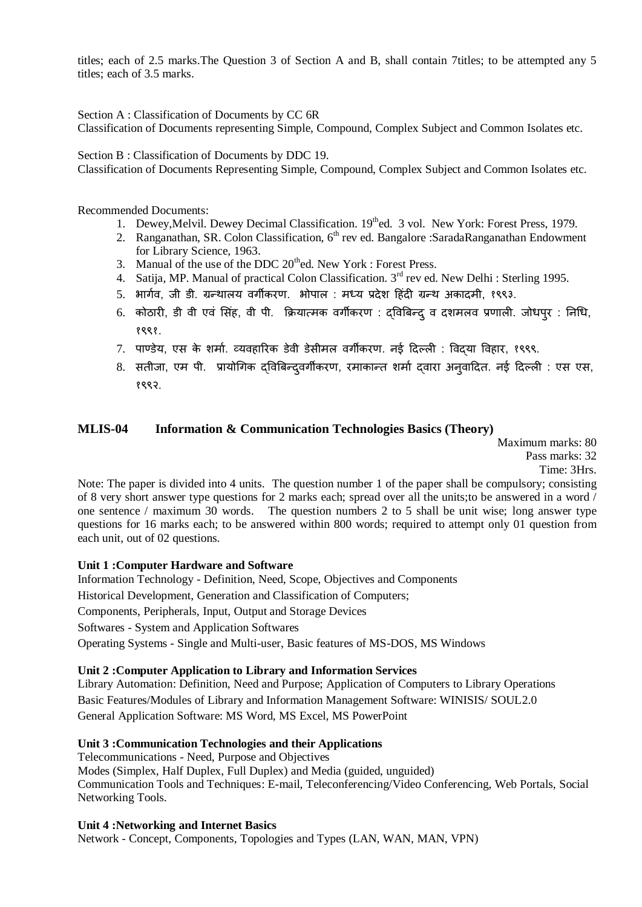titles; each of 2.5 marks.The Question 3 of Section A and B, shall contain 7titles; to be attempted any 5 titles; each of 3.5 marks.

Section A : Classification of Documents by CC 6R Classification of Documents representing Simple, Compound, Complex Subject and Common Isolates etc.

Section B : Classification of Documents by DDC 19. Classification of Documents Representing Simple, Compound, Complex Subject and Common Isolates etc.

Recommended Documents:

- 1. Dewey, Melvil. Dewey Decimal Classification. 19<sup>th</sup>ed. 3 vol. New York: Forest Press, 1979.
- 2. Ranganathan, SR. Colon Classification,  $6<sup>th</sup>$  rev ed. Bangalore :SaradaRanganathan Endowment for Library Science, 1963.
- 3. Manual of the use of the DDC  $20<sup>th</sup>$ ed. New York : Forest Press.
- 4. Satija, MP. Manual of practical Colon Classification. 3<sup>rd</sup> rev ed. New Delhi : Sterling 1995.
- 5. भार्गव, जी डी. ग्रन्थालय वर्गीकरण. भोपाल : मध्य प्रदेश हिंदी ग्रन्थ अकादमी, १९९३.
- 6. कोठारी, डी वी एवं सिंह, वी पी. क्रियात्मक वर्गीकरण : दविबिन्दु व दशमलव प्रणाली. जोधपुर : निधि, १९९१.
- 7. पाण्डेय, एस के शर्मा. व्यवहारिक डेवी डेसीमल वर्गीकरण. नई दिल्ली : विदया विहार, १९९९.
- 8. सतीजा, एम पी. प्रायोगिक दविबिन्दुवर्गीकरण, रमाकान्त शर्मा दवारा अनुवादित. नई दिल्ली : एस एस, १९९२.

#### **MLIS-04 Information & Communication Technologies Basics (Theory)**

Maximum marks: 80 Pass marks: 32 Time: 3Hrs.

Note: The paper is divided into 4 units. The question number 1 of the paper shall be compulsory; consisting of 8 very short answer type questions for 2 marks each; spread over all the units;to be answered in a word / one sentence / maximum 30 words. The question numbers 2 to 5 shall be unit wise; long answer type questions for 16 marks each; to be answered within 800 words; required to attempt only 01 question from each unit, out of 02 questions.

#### **Unit 1 :Computer Hardware and Software**

Information Technology - Definition, Need, Scope, Objectives and Components Historical Development, Generation and Classification of Computers; Components, Peripherals, Input, Output and Storage Devices Softwares - System and Application Softwares Operating Systems - Single and Multi-user, Basic features of MS-DOS, MS Windows

#### **Unit 2 :Computer Application to Library and Information Services**

Library Automation: Definition, Need and Purpose; Application of Computers to Library Operations Basic Features/Modules of Library and Information Management Software: WINISIS/ SOUL2.0 General Application Software: MS Word, MS Excel, MS PowerPoint

#### **Unit 3 :Communication Technologies and their Applications**

Telecommunications - Need, Purpose and Objectives

Modes (Simplex, Half Duplex, Full Duplex) and Media (guided, unguided) Communication Tools and Techniques: E-mail, Teleconferencing/Video Conferencing, Web Portals, Social

#### **Unit 4 :Networking and Internet Basics**

Networking Tools.

Network - Concept, Components, Topologies and Types (LAN, WAN, MAN, VPN)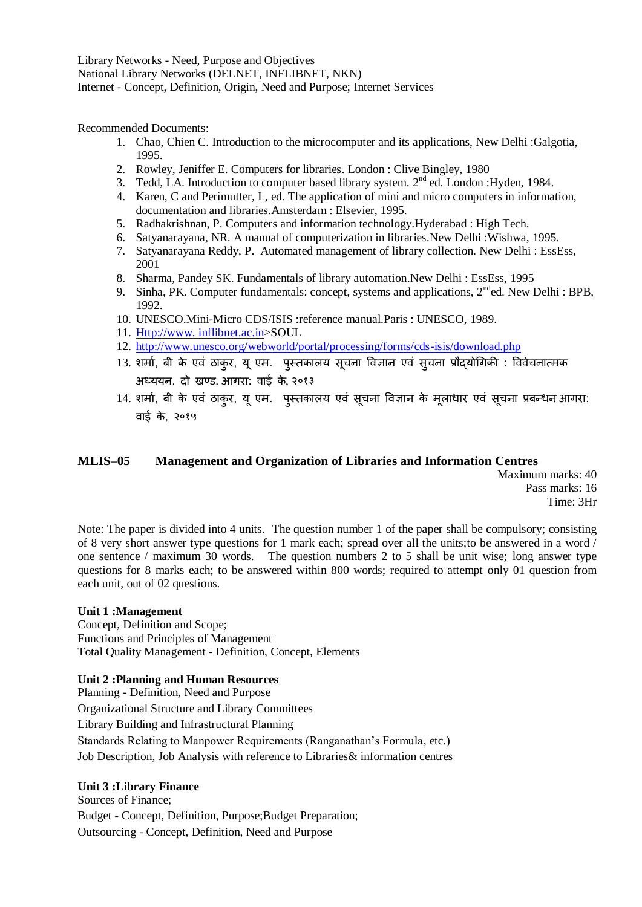Library Networks - Need, Purpose and Objectives National Library Networks (DELNET, INFLIBNET, NKN) Internet - Concept, Definition, Origin, Need and Purpose; Internet Services

Recommended Documents:

- 1. Chao, Chien C. Introduction to the microcomputer and its applications, New Delhi :Galgotia, 1995.
- 2. Rowley, Jeniffer E. Computers for libraries. London : Clive Bingley, 1980
- 3. Tedd, LA. Introduction to computer based library system. 2<sup>nd</sup> ed. London :Hyden, 1984.
- 4. Karen, C and Perimutter, L, ed. The application of mini and micro computers in information, documentation and libraries.Amsterdam : Elsevier, 1995.
- 5. Radhakrishnan, P. Computers and information technology.Hyderabad : High Tech.
- 6. Satyanarayana, NR. A manual of computerization in libraries.New Delhi :Wishwa, 1995.
- 7. Satyanarayana Reddy, P. Automated management of library collection. New Delhi : EssEss, 2001
- 8. Sharma, Pandey SK. Fundamentals of library automation.New Delhi : EssEss, 1995
- 9. Sinha, PK. Computer fundamentals: concept, systems and applications, 2<sup>nd</sup>ed. New Delhi : BPB, 1992.
- 10. UNESCO.Mini-Micro CDS/ISIS :reference manual.Paris : UNESCO, 1989.
- 11. Http://www. inflibnet.ac.in>SOUL
- 12. <http://www.unesco.org/webworld/portal/processing/forms/cds-isis/download.php>
- 13. शर्मा, बी के एवं ठाकुर, यू एम. पुस्तकालय सूचना विज्ञान एवं सुचना प्रौद्योगिकी : विवेचनात्मक अध्ययन. दो खण्ड. आगरा: वाई के, २०१३
- 14. शर्मा, बी के एवं ठाकुर, यू एम. पुस्तकालय एवं सूचना विज्ञान के मूलाधार एवं सूचना प्रबन्धन आगरा: वाई के, २०१५

## **MLIS–05 Management and Organization of Libraries and Information Centres**

Maximum marks: 40 Pass marks: 16 Time: 3Hr

Note: The paper is divided into 4 units. The question number 1 of the paper shall be compulsory; consisting of 8 very short answer type questions for 1 mark each; spread over all the units;to be answered in a word / one sentence / maximum 30 words. The question numbers 2 to 5 shall be unit wise; long answer type questions for 8 marks each; to be answered within 800 words; required to attempt only 01 question from each unit, out of 02 questions.

#### **Unit 1 :Management**

Concept, Definition and Scope; Functions and Principles of Management Total Quality Management - Definition, Concept, Elements

#### **Unit 2 :Planning and Human Resources**

Planning - Definition, Need and Purpose Organizational Structure and Library Committees Library Building and Infrastructural Planning Standards Relating to Manpower Requirements (Ranganathan's Formula, etc.) Job Description, Job Analysis with reference to Libraries& information centres

#### **Unit 3 :Library Finance**

Sources of Finance; Budget - Concept, Definition, Purpose;Budget Preparation; Outsourcing - Concept, Definition, Need and Purpose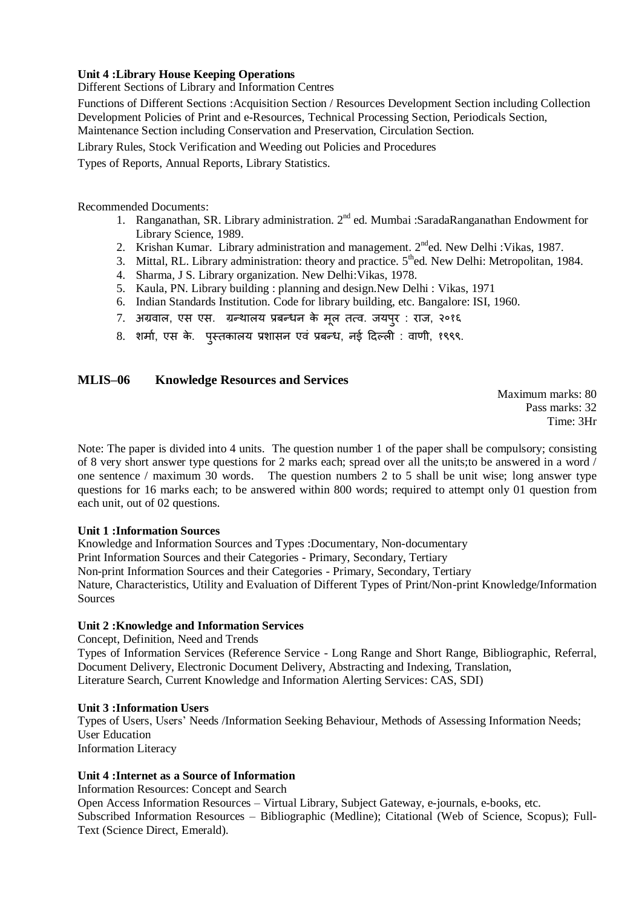## **Unit 4 :Library House Keeping Operations**

Different Sections of Library and Information Centres

Functions of Different Sections :Acquisition Section / Resources Development Section including Collection Development Policies of Print and e-Resources, Technical Processing Section, Periodicals Section, Maintenance Section including Conservation and Preservation, Circulation Section.

Library Rules, Stock Verification and Weeding out Policies and Procedures

Types of Reports, Annual Reports, Library Statistics.

Recommended Documents:

- 1. Ranganathan, SR. Library administration. 2<sup>nd</sup> ed. Mumbai :SaradaRanganathan Endowment for Library Science, 1989.
- 2. Krishan Kumar. Library administration and management. 2<sup>nd</sup>ed. New Delhi : Vikas, 1987.
- 3. Mittal, RL. Library administration: theory and practice. 5<sup>th</sup>ed. New Delhi: Metropolitan, 1984.
- 4. Sharma, J S. Library organization. New Delhi:Vikas, 1978.
- 5. Kaula, PN. Library building : planning and design.New Delhi : Vikas, 1971
- 6. Indian Standards Institution. Code for library building, etc. Bangalore: ISI, 1960.
- 7. अग्रवाऱ, एस एस. ग्रन्थाऱय प्रबन्धन के मूऱ तत्व. जयऩरु : राज, २०१६
- 8. शर्मा, एस के. पुस्तकालय प्रशासन एवं प्रबन्ध, नई दिल्ली : वाणी, १९९९.

## **MLIS–06 Knowledge Resources and Services**

Maximum marks: 80 Pass marks: 32 Time: 3Hr

Note: The paper is divided into 4 units. The question number 1 of the paper shall be compulsory; consisting of 8 very short answer type questions for 2 marks each; spread over all the units;to be answered in a word / one sentence / maximum 30 words. The question numbers 2 to 5 shall be unit wise; long answer type questions for 16 marks each; to be answered within 800 words; required to attempt only 01 question from each unit, out of 02 questions.

#### **Unit 1 :Information Sources**

Knowledge and Information Sources and Types :Documentary, Non-documentary Print Information Sources and their Categories - Primary, Secondary, Tertiary Non-print Information Sources and their Categories - Primary, Secondary, Tertiary Nature, Characteristics, Utility and Evaluation of Different Types of Print/Non-print Knowledge/Information **Sources** 

#### **Unit 2 :Knowledge and Information Services**

Concept, Definition, Need and Trends Types of Information Services (Reference Service - Long Range and Short Range, Bibliographic, Referral, Document Delivery, Electronic Document Delivery, Abstracting and Indexing, Translation, Literature Search, Current Knowledge and Information Alerting Services: CAS, SDI)

#### **Unit 3 :Information Users**

Types of Users, Users' Needs /Information Seeking Behaviour, Methods of Assessing Information Needs; User Education Information Literacy

## **Unit 4 :Internet as a Source of Information**

Information Resources: Concept and Search

Open Access Information Resources – Virtual Library, Subject Gateway, e-journals, e-books, etc. Subscribed Information Resources – Bibliographic (Medline); Citational (Web of Science, Scopus); Full-Text (Science Direct, Emerald).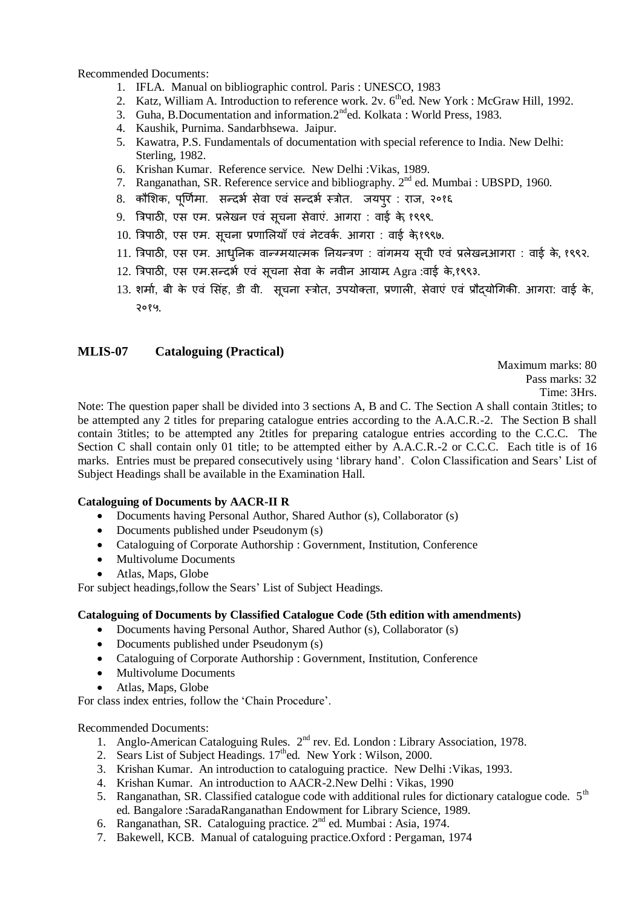Recommended Documents:

- 1. IFLA. Manual on bibliographic control. Paris : UNESCO, 1983
- 2. Katz, William A. Introduction to reference work. 2v. 6<sup>th</sup>ed. New York : McGraw Hill, 1992.
- 3. Guha, B.Documentation and information. 2<sup>nd</sup>ed. Kolkata : World Press, 1983.
- 4. Kaushik, Purnima. Sandarbhsewa. Jaipur.
- 5. Kawatra, P.S. Fundamentals of documentation with special reference to India. New Delhi: Sterling, 1982.
- 6. Krishan Kumar. Reference service. New Delhi :Vikas, 1989.
- 7. Ranganathan, SR. Reference service and bibliography. 2<sup>nd</sup> ed. Mumbai : UBSPD, 1960.
- 8. कौशिक, पूर्णिमा. सन्दर्भ सेवा एवं सन्दर्भ स्त्रोत. जयपुर : राज, २०१६
- 9. त्रिपाठी, एस एम. प्रलेखन एवं सूचना सेवाएं. आगरा : वाई के, १९९९.
- 10. त्रिपाठी, एस एम. सूचना प्रणालियाँ एवं नेटवर्क. आगरा : वाई के,१९९७.
- 11. त्रिपाठी, एस एम. आधुनिक वान्ग्मयात्मक नियन्त्रण : वांगमय सूची एवं प्रलेखनआगरा : वाई के, १९९२.
- 12. त्रिपाठी, एस एम.सन्दर्भ एवं सूचना सेवा के नवीन आयाम Agra :वाई के,१९९३.
- 13. शर्मा, बी के एवं सिंह, डी वी. सूचना स्त्रोत, उपयोक्ता, प्रणाली, सेवाएं एवं प्रौदयोगिकी. आगरा: वाई के, २०१५.

## **MLIS-07 Cataloguing (Practical)**

Maximum marks: 80 Pass marks: 32 Time: 3Hrs.

Note: The question paper shall be divided into 3 sections A, B and C. The Section A shall contain 3titles; to be attempted any 2 titles for preparing catalogue entries according to the A.A.C.R.-2. The Section B shall contain 3titles; to be attempted any 2titles for preparing catalogue entries according to the C.C.C. The Section C shall contain only 01 title; to be attempted either by A.A.C.R.-2 or C.C.C. Each title is of 16 marks. Entries must be prepared consecutively using 'library hand'. Colon Classification and Sears' List of Subject Headings shall be available in the Examination Hall.

#### **Cataloguing of Documents by AACR-II R**

- Documents having Personal Author, Shared Author (s), Collaborator (s)
- Documents published under Pseudonym (s)
- Cataloguing of Corporate Authorship : Government, Institution, Conference
- Multivolume Documents
- Atlas, Maps, Globe

For subject headings,follow the Sears' List of Subject Headings.

#### **Cataloguing of Documents by Classified Catalogue Code (5th edition with amendments)**

- Documents having Personal Author, Shared Author (s), Collaborator (s)
- Documents published under Pseudonym (s)
- Cataloguing of Corporate Authorship : Government, Institution, Conference
- Multivolume Documents
- Atlas, Maps, Globe

For class index entries, follow the 'Chain Procedure'.

- 1. Anglo-American Cataloguing Rules. 2<sup>nd</sup> rev. Ed. London : Library Association, 1978.
- 2. Sears List of Subject Headings.  $17<sup>th</sup>$ ed. New York : Wilson, 2000.
- 3. Krishan Kumar. An introduction to cataloguing practice. New Delhi :Vikas, 1993.
- 4. Krishan Kumar. An introduction to AACR-2.New Delhi : Vikas, 1990
- 5. Ranganathan, SR. Classified catalogue code with additional rules for dictionary catalogue code.  $5<sup>th</sup>$ ed. Bangalore :SaradaRanganathan Endowment for Library Science, 1989.
- 6. Ranganathan, SR. Cataloguing practice. 2nd ed. Mumbai : Asia, 1974.
- 7. Bakewell, KCB. Manual of cataloguing practice.Oxford : Pergaman, 1974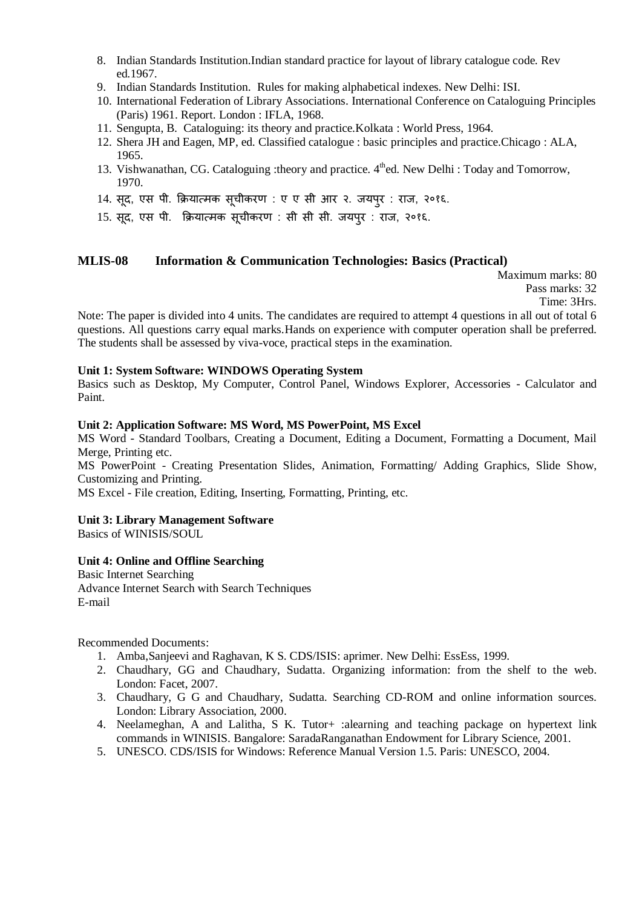- 8. Indian Standards Institution.Indian standard practice for layout of library catalogue code. Rev ed.1967.
- 9. Indian Standards Institution. Rules for making alphabetical indexes. New Delhi: ISI.
- 10. International Federation of Library Associations. International Conference on Cataloguing Principles (Paris) 1961. Report. London : IFLA, 1968.
- 11. Sengupta, B. Cataloguing: its theory and practice.Kolkata : World Press, 1964.
- 12. Shera JH and Eagen, MP, ed. Classified catalogue : basic principles and practice.Chicago : ALA, 1965.
- 13. Vishwanathan, CG. Cataloguing :theory and practice. 4<sup>th</sup>ed. New Delhi : Today and Tomorrow, 1970.
- 14. सूद, एस पी. क्रियात्मक सूचीकरण : ए ए सी आर २. जयपुर : राज, २०१६.
- 15. सूद, एस ऩी. क्रियात्मक सूचीकरण : सी सी सी. जयऩरु : राज, २०१६.

## **MLIS-08 Information & Communication Technologies: Basics (Practical)**

Maximum marks: 80 Pass marks: 32 Time: 3Hrs.

Note: The paper is divided into 4 units. The candidates are required to attempt 4 questions in all out of total 6 questions. All questions carry equal marks.Hands on experience with computer operation shall be preferred. The students shall be assessed by viva-voce, practical steps in the examination.

#### **Unit 1: System Software: WINDOWS Operating System**

Basics such as Desktop, My Computer, Control Panel, Windows Explorer, Accessories - Calculator and Paint.

## **Unit 2: Application Software: MS Word, MS PowerPoint, MS Excel**

MS Word - Standard Toolbars, Creating a Document, Editing a Document, Formatting a Document, Mail Merge, Printing etc.

MS PowerPoint - Creating Presentation Slides, Animation, Formatting/ Adding Graphics, Slide Show, Customizing and Printing.

MS Excel - File creation, Editing, Inserting, Formatting, Printing, etc.

#### **Unit 3: Library Management Software**

Basics of WINISIS/SOUL

#### **Unit 4: Online and Offline Searching**

Basic Internet Searching Advance Internet Search with Search Techniques E-mail

- 1. Amba,Sanjeevi and Raghavan, K S. CDS/ISIS: aprimer. New Delhi: EssEss, 1999.
- 2. Chaudhary, GG and Chaudhary, Sudatta. Organizing information: from the shelf to the web. London: Facet, 2007.
- 3. Chaudhary, G G and Chaudhary, Sudatta. Searching CD-ROM and online information sources. London: Library Association, 2000.
- 4. Neelameghan, A and Lalitha, S K. Tutor+ :alearning and teaching package on hypertext link commands in WINISIS. Bangalore: SaradaRanganathan Endowment for Library Science, 2001.
- 5. UNESCO. CDS/ISIS for Windows: Reference Manual Version 1.5. Paris: UNESCO, 2004.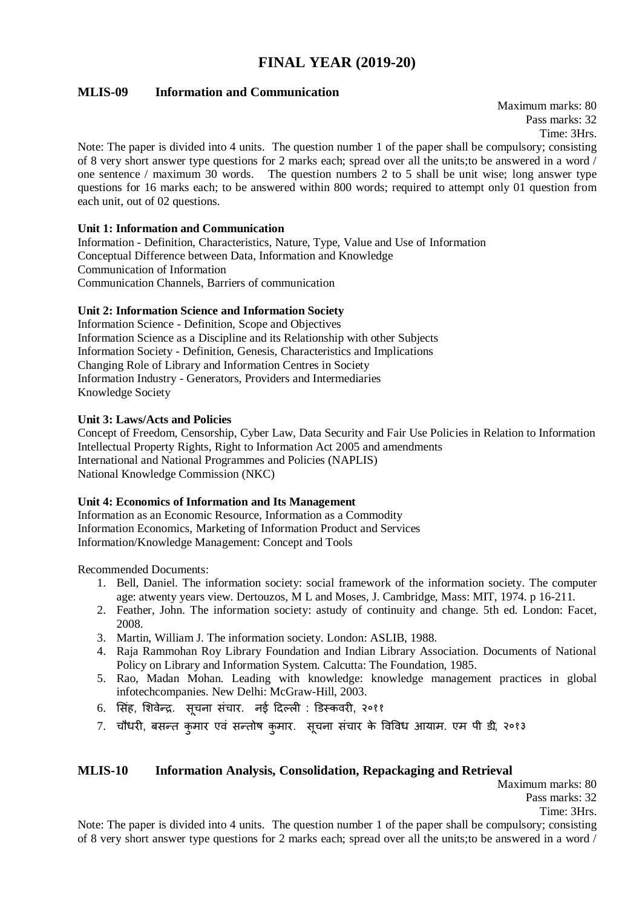# **FINAL YEAR (2019-20)**

## **MLIS-09 Information and Communication**

Maximum marks: 80 Pass marks: 32 Time: 3Hrs.

Note: The paper is divided into 4 units. The question number 1 of the paper shall be compulsory; consisting of 8 very short answer type questions for 2 marks each; spread over all the units;to be answered in a word / one sentence / maximum 30 words. The question numbers 2 to 5 shall be unit wise; long answer type questions for 16 marks each; to be answered within 800 words; required to attempt only 01 question from each unit, out of 02 questions.

#### **Unit 1: Information and Communication**

Information - Definition, Characteristics, Nature, Type, Value and Use of Information Conceptual Difference between Data, Information and Knowledge Communication of Information Communication Channels, Barriers of communication

#### **Unit 2: Information Science and Information Society**

Information Science - Definition, Scope and Objectives Information Science as a Discipline and its Relationship with other Subjects Information Society - Definition, Genesis, Characteristics and Implications Changing Role of Library and Information Centres in Society Information Industry - Generators, Providers and Intermediaries Knowledge Society

#### **Unit 3: Laws/Acts and Policies**

Concept of Freedom, Censorship, Cyber Law, Data Security and Fair Use Policies in Relation to Information Intellectual Property Rights, Right to Information Act 2005 and amendments International and National Programmes and Policies (NAPLIS) National Knowledge Commission (NKC)

#### **Unit 4: Economics of Information and Its Management**

Information as an Economic Resource, Information as a Commodity Information Economics, Marketing of Information Product and Services Information/Knowledge Management: Concept and Tools

Recommended Documents:

- 1. Bell, Daniel. The information society: social framework of the information society. The computer age: atwenty years view. Dertouzos, M L and Moses, J. Cambridge, Mass: MIT, 1974. p 16-211.
- 2. Feather, John. The information society: astudy of continuity and change. 5th ed. London: Facet, 2008.
- 3. Martin, William J. The information society. London: ASLIB, 1988.
- 4. Raja Rammohan Roy Library Foundation and Indian Library Association. Documents of National Policy on Library and Information System. Calcutta: The Foundation, 1985.
- 5. Rao, Madan Mohan. Leading with knowledge: knowledge management practices in global infotechcompanies. New Delhi: McGraw-Hill, 2003.
- 6. सिंह, शिवेन्द्र. सूचना संचार. नई दिल्ली : डिस्कवरी, २०११
- 7. चौधरी, बसन्त कुमार एवं सन्तोष कुमार. सूचना संचार के विविध आयाम. एम पी डी, २०१३

## **MLIS-10 Information Analysis, Consolidation, Repackaging and Retrieval**

Maximum marks: 80 Pass marks: 32 Time: 3Hrs.

Note: The paper is divided into 4 units. The question number 1 of the paper shall be compulsory; consisting of 8 very short answer type questions for 2 marks each; spread over all the units;to be answered in a word /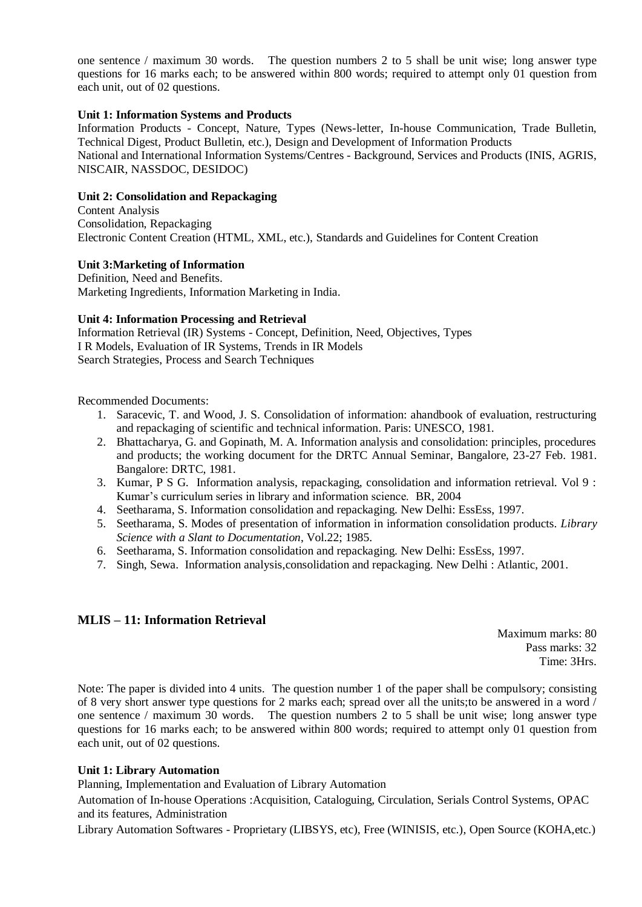one sentence / maximum 30 words. The question numbers 2 to 5 shall be unit wise; long answer type questions for 16 marks each; to be answered within 800 words; required to attempt only 01 question from each unit, out of 02 questions.

#### **Unit 1: Information Systems and Products**

Information Products - Concept, Nature, Types (News-letter, In-house Communication, Trade Bulletin, Technical Digest, Product Bulletin, etc.), Design and Development of Information Products National and International Information Systems/Centres - Background, Services and Products (INIS, AGRIS, NISCAIR, NASSDOC, DESIDOC)

#### **Unit 2: Consolidation and Repackaging**

Content Analysis Consolidation, Repackaging Electronic Content Creation (HTML, XML, etc.), Standards and Guidelines for Content Creation

**Unit 3:Marketing of Information**

Definition, Need and Benefits. Marketing Ingredients, Information Marketing in India.

#### **Unit 4: Information Processing and Retrieval**

Information Retrieval (IR) Systems - Concept, Definition, Need, Objectives, Types I R Models, Evaluation of IR Systems, Trends in IR Models Search Strategies, Process and Search Techniques

Recommended Documents:

- 1. Saracevic, T. and Wood, J. S. Consolidation of information: ahandbook of evaluation, restructuring and repackaging of scientific and technical information. Paris: UNESCO, 1981.
- 2. Bhattacharya, G. and Gopinath, M. A. Information analysis and consolidation: principles, procedures and products; the working document for the DRTC Annual Seminar, Bangalore, 23-27 Feb. 1981. Bangalore: DRTC, 1981.
- 3. Kumar, P S G. Information analysis, repackaging, consolidation and information retrieval. Vol 9 : Kumar's curriculum series in library and information science. BR, 2004
- 4. Seetharama, S. Information consolidation and repackaging. New Delhi: EssEss, 1997.
- 5. Seetharama, S. Modes of presentation of information in information consolidation products. *Library Science with a Slant to Documentation*, Vol.22; 1985.
- 6. Seetharama, S. Information consolidation and repackaging. New Delhi: EssEss, 1997.
- 7. Singh, Sewa. Information analysis,consolidation and repackaging. New Delhi : Atlantic, 2001.

## **MLIS – 11: Information Retrieval**

Maximum marks: 80 Pass marks: 32 Time: 3Hrs.

Note: The paper is divided into 4 units. The question number 1 of the paper shall be compulsory; consisting of 8 very short answer type questions for 2 marks each; spread over all the units;to be answered in a word / one sentence / maximum 30 words. The question numbers 2 to 5 shall be unit wise; long answer type questions for 16 marks each; to be answered within 800 words; required to attempt only 01 question from each unit, out of 02 questions.

#### **Unit 1: Library Automation**

Planning, Implementation and Evaluation of Library Automation

Automation of In-house Operations :Acquisition, Cataloguing, Circulation, Serials Control Systems, OPAC and its features, Administration

Library Automation Softwares - Proprietary (LIBSYS, etc), Free (WINISIS, etc.), Open Source (KOHA,etc.)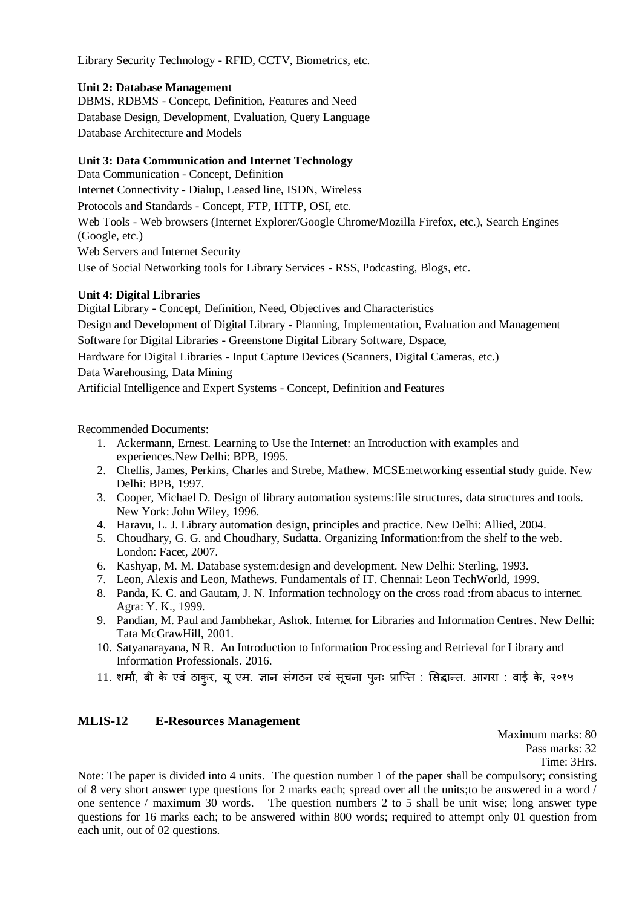Library Security Technology - RFID, CCTV, Biometrics, etc.

#### **Unit 2: Database Management**

DBMS, RDBMS - Concept, Definition, Features and Need Database Design, Development, Evaluation, Query Language Database Architecture and Models

## **Unit 3: Data Communication and Internet Technology**

Data Communication - Concept, Definition Internet Connectivity - Dialup, Leased line, ISDN, Wireless Protocols and Standards - Concept, FTP, HTTP, OSI, etc. Web Tools - Web browsers (Internet Explorer/Google Chrome/Mozilla Firefox, etc.), Search Engines (Google, etc.) Web Servers and Internet Security Use of Social Networking tools for Library Services - RSS, Podcasting, Blogs, etc.

#### **Unit 4: Digital Libraries**

Digital Library - Concept, Definition, Need, Objectives and Characteristics Design and Development of Digital Library - Planning, Implementation, Evaluation and Management Software for Digital Libraries - Greenstone Digital Library Software, Dspace, Hardware for Digital Libraries - Input Capture Devices (Scanners, Digital Cameras, etc.) Data Warehousing, Data Mining Artificial Intelligence and Expert Systems - Concept, Definition and Features

Recommended Documents:

- 1. Ackermann, Ernest. Learning to Use the Internet: an Introduction with examples and experiences.New Delhi: BPB, 1995.
- 2. Chellis, James, Perkins, Charles and Strebe, Mathew. MCSE:networking essential study guide. New Delhi: BPB, 1997.
- 3. Cooper, Michael D. Design of library automation systems:file structures, data structures and tools. New York: John Wiley, 1996.
- 4. Haravu, L. J. Library automation design, principles and practice. New Delhi: Allied, 2004.
- 5. Choudhary, G. G. and Choudhary, Sudatta. Organizing Information:from the shelf to the web. London: Facet, 2007.
- 6. Kashyap, M. M. Database system:design and development. New Delhi: Sterling, 1993.
- 7. Leon, Alexis and Leon, Mathews. Fundamentals of IT. Chennai: Leon TechWorld, 1999.
- 8. Panda, K. C. and Gautam, J. N. Information technology on the cross road :from abacus to internet*.*  Agra: Y. K., 1999.
- 9. Pandian, M. Paul and Jambhekar, Ashok. Internet for Libraries and Information Centres. New Delhi: Tata McGrawHill, 2001.
- 10. Satyanarayana, N R. An Introduction to Information Processing and Retrieval for Library and Information Professionals. 2016.
- 11. शर्मा, बी के एवं ठाकुर, यू एम. ज्ञान संगठन एवं सूचना प्**नः प्राप्ति : सिद्धान्त. आगरा : वाई के,** २०१५

## **MLIS-12 E-Resources Management**

Maximum marks: 80 Pass marks: 32

Time: 3Hrs.

Note: The paper is divided into 4 units. The question number 1 of the paper shall be compulsory; consisting of 8 very short answer type questions for 2 marks each; spread over all the units;to be answered in a word / one sentence / maximum 30 words. The question numbers 2 to 5 shall be unit wise; long answer type questions for 16 marks each; to be answered within 800 words; required to attempt only 01 question from each unit, out of 02 questions.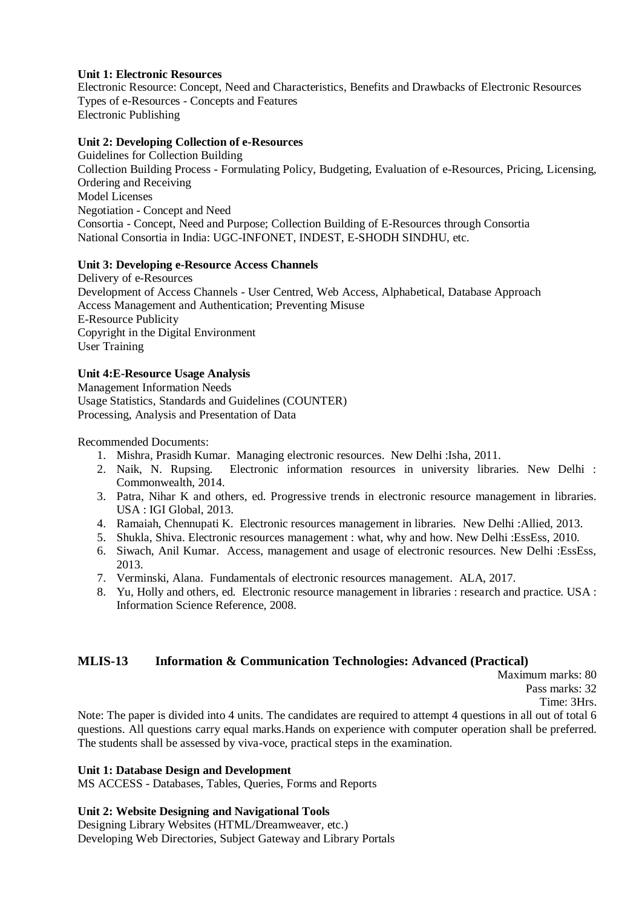#### **Unit 1: Electronic Resources**

Electronic Resource: Concept, Need and Characteristics, Benefits and Drawbacks of Electronic Resources Types of e-Resources - Concepts and Features Electronic Publishing

#### **Unit 2: Developing Collection of e-Resources**

Guidelines for Collection Building Collection Building Process - Formulating Policy, Budgeting, Evaluation of e-Resources, Pricing, Licensing, Ordering and Receiving Model Licenses Negotiation - Concept and Need Consortia - Concept, Need and Purpose; Collection Building of E-Resources through Consortia National Consortia in India: UGC-INFONET, INDEST, E-SHODH SINDHU, etc.

#### **Unit 3: Developing e-Resource Access Channels**

Delivery of e-Resources Development of Access Channels - User Centred, Web Access, Alphabetical, Database Approach Access Management and Authentication; Preventing Misuse E-Resource Publicity Copyright in the Digital Environment User Training

#### **Unit 4:E-Resource Usage Analysis**

Management Information Needs Usage Statistics, Standards and Guidelines (COUNTER) Processing, Analysis and Presentation of Data

Recommended Documents:

- 1. Mishra, Prasidh Kumar. Managing electronic resources. New Delhi :Isha, 2011.
- 2. Naik, N. Rupsing. Electronic information resources in university libraries. New Delhi : Commonwealth, 2014.
- 3. Patra, Nihar K and others, ed. Progressive trends in electronic resource management in libraries. USA : IGI Global, 2013.
- 4. Ramaiah, Chennupati K. Electronic resources management in libraries. New Delhi :Allied, 2013.
- 5. Shukla, Shiva. Electronic resources management : what, why and how. New Delhi :EssEss, 2010.
- 6. Siwach, Anil Kumar. Access, management and usage of electronic resources. New Delhi :EssEss, 2013.
- 7. Verminski, Alana. Fundamentals of electronic resources management. ALA, 2017.
- 8. Yu, Holly and others, ed. Electronic resource management in libraries : research and practice. USA : Information Science Reference, 2008.

## **MLIS-13 Information & Communication Technologies: Advanced (Practical)**

Maximum marks: 80

Pass marks: 32

Time: 3Hrs.

Note: The paper is divided into 4 units. The candidates are required to attempt 4 questions in all out of total 6 questions. All questions carry equal marks.Hands on experience with computer operation shall be preferred. The students shall be assessed by viva-voce, practical steps in the examination.

#### **Unit 1: Database Design and Development**

MS ACCESS - Databases, Tables, Queries, Forms and Reports

#### **Unit 2: Website Designing and Navigational Tools**

Designing Library Websites (HTML/Dreamweaver, etc.) Developing Web Directories, Subject Gateway and Library Portals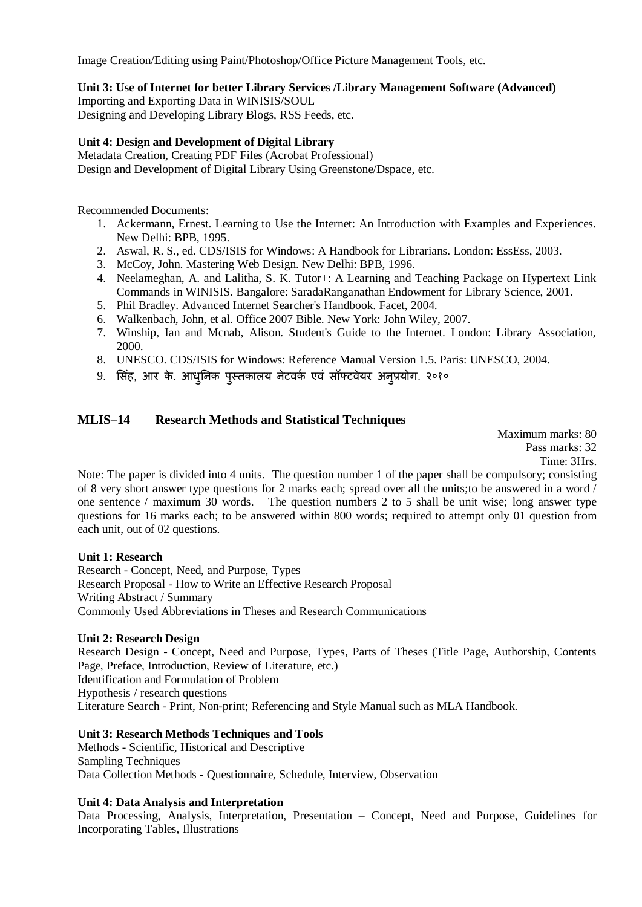Image Creation/Editing using Paint/Photoshop/Office Picture Management Tools, etc.

**Unit 3: Use of Internet for better Library Services /Library Management Software (Advanced)**

Importing and Exporting Data in WINISIS/SOUL Designing and Developing Library Blogs, RSS Feeds, etc.

## **Unit 4: Design and Development of Digital Library**

Metadata Creation, Creating PDF Files (Acrobat Professional) Design and Development of Digital Library Using Greenstone/Dspace, etc.

Recommended Documents:

- 1. Ackermann, Ernest. Learning to Use the Internet: An Introduction with Examples and Experiences. New Delhi: BPB, 1995.
- 2. Aswal, R. S., ed. CDS/ISIS for Windows: A Handbook for Librarians. London: EssEss, 2003.
- 3. McCoy, John. Mastering Web Design. New Delhi: BPB, 1996.
- 4. Neelameghan, A. and Lalitha, S. K. Tutor+: A Learning and Teaching Package on Hypertext Link Commands in WINISIS. Bangalore: SaradaRanganathan Endowment for Library Science, 2001.
- 5. Phil Bradley. Advanced Internet Searcher's Handbook. Facet, 2004.
- 6. Walkenbach, John, et al. Office 2007 Bible. New York: John Wiley, 2007.
- 7. Winship, Ian and Mcnab, Alison. Student's Guide to the Internet. London: Library Association, 2000.
- 8. UNESCO. CDS/ISIS for Windows: Reference Manual Version 1.5. Paris: UNESCO, 2004.
- 9. सिंह, आर के. आधुनिक पुस्तकालय नेटवर्क एवं सॉफ्टवेयर अनुप्रयोग. २०१०

## **MLIS–14 Research Methods and Statistical Techniques**

Maximum marks: 80 Pass marks: 32 Time: 3Hrs.

Note: The paper is divided into 4 units. The question number 1 of the paper shall be compulsory; consisting of 8 very short answer type questions for 2 marks each; spread over all the units;to be answered in a word / one sentence / maximum 30 words. The question numbers 2 to 5 shall be unit wise; long answer type questions for 16 marks each; to be answered within 800 words; required to attempt only 01 question from each unit, out of 02 questions.

#### **Unit 1: Research**

Research - Concept, Need, and Purpose, Types Research Proposal - How to Write an Effective Research Proposal Writing Abstract / Summary Commonly Used Abbreviations in Theses and Research Communications

## **Unit 2: Research Design**

Research Design - Concept, Need and Purpose, Types, Parts of Theses (Title Page, Authorship, Contents Page, Preface, Introduction, Review of Literature, etc.) Identification and Formulation of Problem Hypothesis / research questions Literature Search - Print, Non-print; Referencing and Style Manual such as MLA Handbook.

#### **Unit 3: Research Methods Techniques and Tools**

Methods - Scientific, Historical and Descriptive Sampling Techniques Data Collection Methods - Questionnaire, Schedule, Interview, Observation

## **Unit 4: Data Analysis and Interpretation**

Data Processing, Analysis, Interpretation, Presentation – Concept, Need and Purpose, Guidelines for Incorporating Tables, Illustrations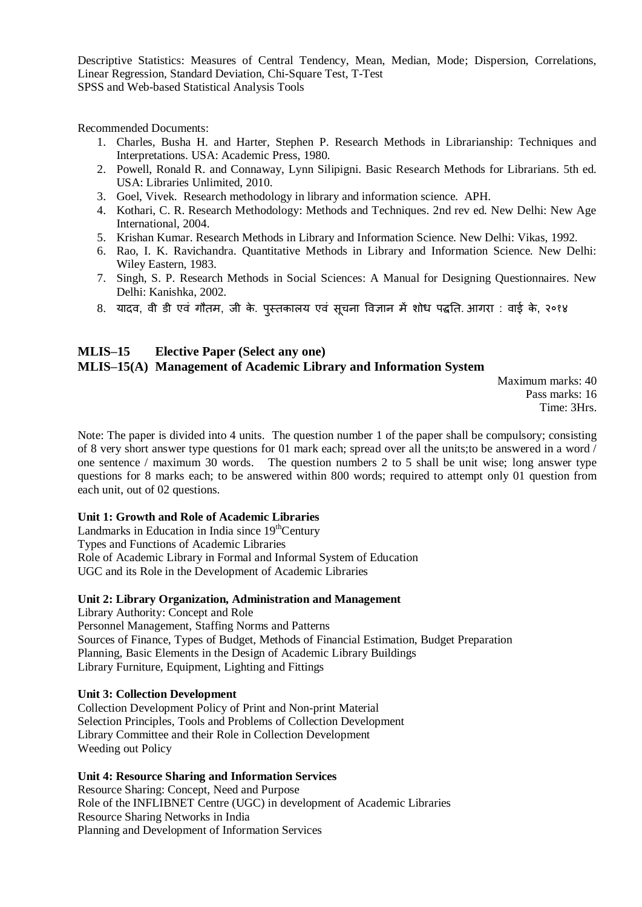Descriptive Statistics: Measures of Central Tendency, Mean, Median, Mode; Dispersion, Correlations, Linear Regression, Standard Deviation, Chi-Square Test, T-Test SPSS and Web-based Statistical Analysis Tools

Recommended Documents:

- 1. Charles, Busha H. and Harter, Stephen P. Research Methods in Librarianship: Techniques and Interpretations. USA: Academic Press, 1980.
- 2. Powell, Ronald R. and Connaway, Lynn Silipigni. Basic Research Methods for Librarians. 5th ed. USA: Libraries Unlimited, 2010.
- 3. Goel, Vivek. Research methodology in library and information science. APH.
- 4. Kothari, C. R. Research Methodology: Methods and Techniques. 2nd rev ed. New Delhi: New Age International, 2004.
- 5. Krishan Kumar. Research Methods in Library and Information Science. New Delhi: Vikas, 1992.
- 6. Rao, I. K. Ravichandra. Quantitative Methods in Library and Information Science. New Delhi: Wiley Eastern, 1983.
- 7. Singh, S. P. Research Methods in Social Sciences: A Manual for Designing Questionnaires. New Delhi: Kanishka, 2002.
- 8. यादव, वी डी एवं गौतम, जी के. पुस्तकालय एवं सूचना विज्ञान में शोध पद्धति. आगरा : वाई के, २०१४

## **MLIS–15 Elective Paper (Select any one) MLIS–15(A) Management of Academic Library and Information System**

Maximum marks: 40 Pass marks: 16 Time: 3Hrs.

Note: The paper is divided into 4 units. The question number 1 of the paper shall be compulsory; consisting of 8 very short answer type questions for 01 mark each; spread over all the units;to be answered in a word / one sentence / maximum 30 words. The question numbers 2 to 5 shall be unit wise; long answer type questions for 8 marks each; to be answered within 800 words; required to attempt only 01 question from each unit, out of 02 questions.

#### **Unit 1: Growth and Role of Academic Libraries**

Landmarks in Education in India since  $19<sup>th</sup>$ Century Types and Functions of Academic Libraries Role of Academic Library in Formal and Informal System of Education UGC and its Role in the Development of Academic Libraries

#### **Unit 2: Library Organization, Administration and Management**

Library Authority: Concept and Role Personnel Management, Staffing Norms and Patterns Sources of Finance, Types of Budget, Methods of Financial Estimation, Budget Preparation Planning, Basic Elements in the Design of Academic Library Buildings Library Furniture, Equipment, Lighting and Fittings

#### **Unit 3: Collection Development**

Collection Development Policy of Print and Non-print Material Selection Principles, Tools and Problems of Collection Development Library Committee and their Role in Collection Development Weeding out Policy

#### **Unit 4: Resource Sharing and Information Services**

Resource Sharing: Concept, Need and Purpose Role of the INFLIBNET Centre (UGC) in development of Academic Libraries Resource Sharing Networks in India Planning and Development of Information Services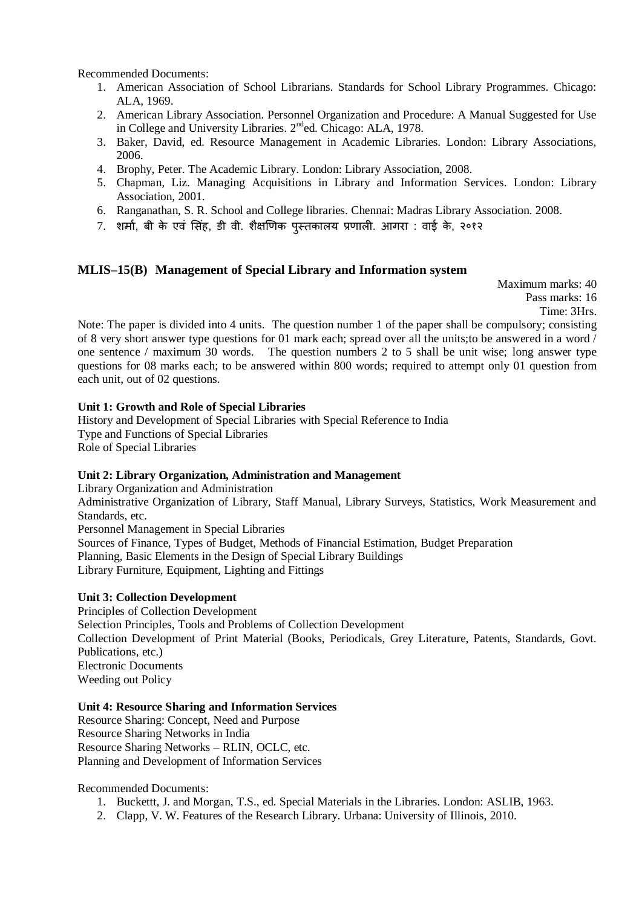Recommended Documents:

- 1. American Association of School Librarians. Standards for School Library Programmes. Chicago: ALA, 1969.
- 2. American Library Association. Personnel Organization and Procedure: A Manual Suggested for Use in College and University Libraries. 2<sup>nd</sup>ed. Chicago: ALA, 1978.
- 3. Baker, David, ed. Resource Management in Academic Libraries. London: Library Associations, 2006.
- 4. Brophy, Peter. The Academic Library. London: Library Association, 2008.
- 5. Chapman, Liz. Managing Acquisitions in Library and Information Services. London: Library Association, 2001.
- 6. Ranganathan, S. R. School and College libraries. Chennai: Madras Library Association. 2008.
- 7. शर्मा, बी के एवं सिंह, डी वी. शैक्षणिक पस्तकालय प्रणाली. आगरा : वाई के, २०१२

## **MLIS–15(B) Management of Special Library and Information system**

Maximum marks: 40 Pass marks: 16 Time: 3Hrs.

Note: The paper is divided into 4 units. The question number 1 of the paper shall be compulsory; consisting of 8 very short answer type questions for 01 mark each; spread over all the units;to be answered in a word / one sentence / maximum 30 words. The question numbers 2 to 5 shall be unit wise; long answer type questions for 08 marks each; to be answered within 800 words; required to attempt only 01 question from each unit, out of 02 questions.

#### **Unit 1: Growth and Role of Special Libraries**

History and Development of Special Libraries with Special Reference to India Type and Functions of Special Libraries Role of Special Libraries

#### **Unit 2: Library Organization, Administration and Management**

Library Organization and Administration Administrative Organization of Library, Staff Manual, Library Surveys, Statistics, Work Measurement and Standards, etc. Personnel Management in Special Libraries Sources of Finance, Types of Budget, Methods of Financial Estimation, Budget Preparation Planning, Basic Elements in the Design of Special Library Buildings Library Furniture, Equipment, Lighting and Fittings

#### **Unit 3: Collection Development**

Principles of Collection Development Selection Principles, Tools and Problems of Collection Development Collection Development of Print Material (Books, Periodicals, Grey Literature, Patents, Standards, Govt. Publications, etc.) Electronic Documents Weeding out Policy

#### **Unit 4: Resource Sharing and Information Services**

Resource Sharing: Concept, Need and Purpose Resource Sharing Networks in India Resource Sharing Networks – RLIN, OCLC, etc. Planning and Development of Information Services

- 1. Buckettt, J. and Morgan, T.S., ed. Special Materials in the Libraries. London: ASLIB, 1963.
- 2. Clapp, V. W. Features of the Research Library. Urbana: University of Illinois, 2010.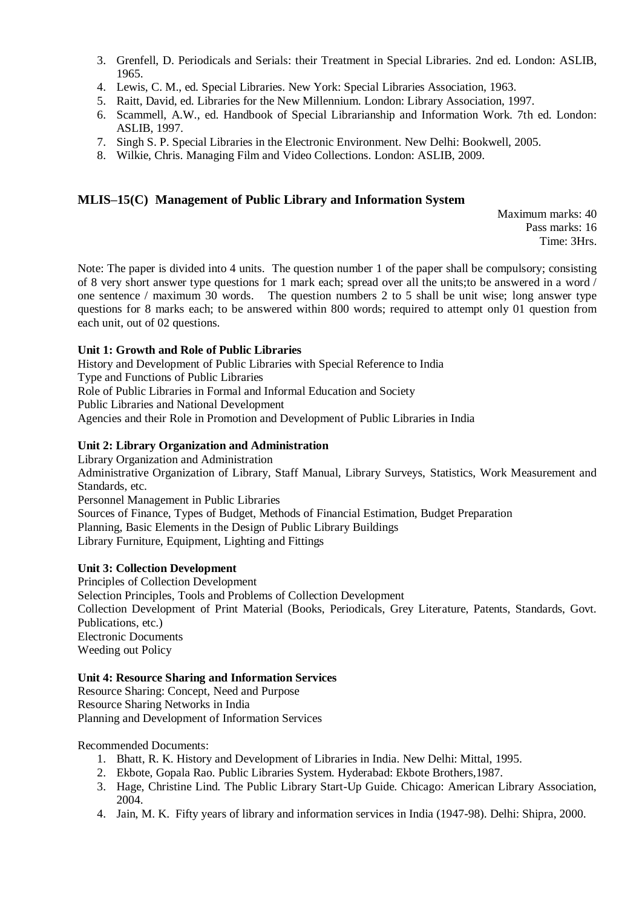- 3. Grenfell, D. Periodicals and Serials: their Treatment in Special Libraries. 2nd ed. London: ASLIB, 1965.
- 4. Lewis, C. M., ed. Special Libraries. New York: Special Libraries Association, 1963.
- 5. Raitt, David, ed. Libraries for the New Millennium. London: Library Association, 1997.
- 6. Scammell, A.W., ed. Handbook of Special Librarianship and Information Work. 7th ed. London: ASLIB, 1997.
- 7. Singh S. P. Special Libraries in the Electronic Environment. New Delhi: Bookwell, 2005.
- 8. Wilkie, Chris. Managing Film and Video Collections. London: ASLIB, 2009.

## **MLIS–15(C) Management of Public Library and Information System**

Maximum marks: 40 Pass marks: 16 Time: 3Hrs.

Note: The paper is divided into 4 units. The question number 1 of the paper shall be compulsory; consisting of 8 very short answer type questions for 1 mark each; spread over all the units;to be answered in a word / one sentence / maximum 30 words. The question numbers 2 to 5 shall be unit wise; long answer type questions for 8 marks each; to be answered within 800 words; required to attempt only 01 question from each unit, out of 02 questions.

#### **Unit 1: Growth and Role of Public Libraries**

History and Development of Public Libraries with Special Reference to India Type and Functions of Public Libraries Role of Public Libraries in Formal and Informal Education and Society Public Libraries and National Development Agencies and their Role in Promotion and Development of Public Libraries in India

#### **Unit 2: Library Organization and Administration**

Library Organization and Administration Administrative Organization of Library, Staff Manual, Library Surveys, Statistics, Work Measurement and Standards, etc. Personnel Management in Public Libraries Sources of Finance, Types of Budget, Methods of Financial Estimation, Budget Preparation Planning, Basic Elements in the Design of Public Library Buildings Library Furniture, Equipment, Lighting and Fittings

## **Unit 3: Collection Development**

Principles of Collection Development Selection Principles, Tools and Problems of Collection Development Collection Development of Print Material (Books, Periodicals, Grey Literature, Patents, Standards, Govt. Publications, etc.) Electronic Documents Weeding out Policy

#### **Unit 4: Resource Sharing and Information Services**

Resource Sharing: Concept, Need and Purpose Resource Sharing Networks in India Planning and Development of Information Services

- 1. Bhatt, R. K. History and Development of Libraries in India. New Delhi: Mittal, 1995.
- 2. Ekbote, Gopala Rao. Public Libraries System. Hyderabad: Ekbote Brothers,1987.
- 3. Hage, Christine Lind. The Public Library Start-Up Guide. Chicago: American Library Association, 2004.
- 4. Jain, M. K. Fifty years of library and information services in India (1947-98). Delhi: Shipra, 2000.